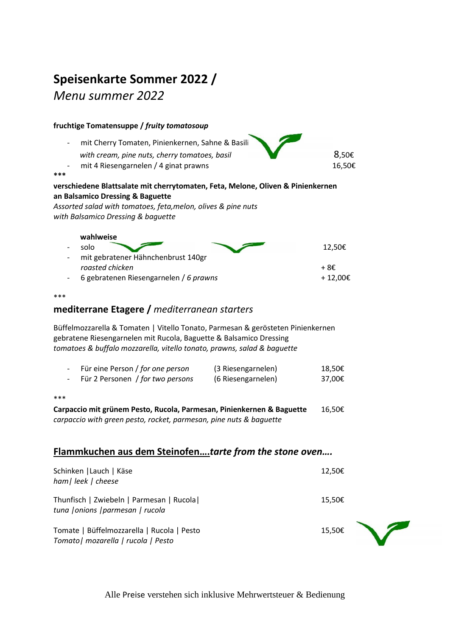## **Speisenkarte Sommer 2022 /**

*Menu summer 2022*

| fruchtige Tomatensuppe / fruity tomatosoup                                                                                                                                                                                       |                  |  |  |  |
|----------------------------------------------------------------------------------------------------------------------------------------------------------------------------------------------------------------------------------|------------------|--|--|--|
| mit Cherry Tomaten, Pinienkernen, Sahne & Basili<br>with cream, pine nuts, cherry tomatoes, basil<br>mit 4 Riesengarnelen / 4 ginat prawns<br>***                                                                                | 8,50€<br>16,50€  |  |  |  |
| verschiedene Blattsalate mit cherrytomaten, Feta, Melone, Oliven & Pinienkernen<br>an Balsamico Dressing & Baguette<br>Assorted salad with tomatoes, feta, melon, olives & pine nuts<br>with Balsamico Dressing & baguette       |                  |  |  |  |
| wahlweise<br>solo<br>mit gebratener Hähnchenbrust 140gr                                                                                                                                                                          | 12,50€           |  |  |  |
| roasted chicken<br>6 gebratenen Riesengarnelen / 6 prawns                                                                                                                                                                        | +8€<br>+12,00€   |  |  |  |
| ***                                                                                                                                                                                                                              |                  |  |  |  |
| mediterrane Etagere / mediterranean starters                                                                                                                                                                                     |                  |  |  |  |
| Büffelmozzarella & Tomaten   Vitello Tonato, Parmesan & gerösteten Pinienkernen<br>gebratene Riesengarnelen mit Rucola, Baguette & Balsamico Dressing<br>tomatoes & buffalo mozzarella, vitello tonato, prawns, salad & baguette |                  |  |  |  |
| Für eine Person / for one person<br>(3 Riesengarnelen)<br>$\qquad \qquad -$<br>Für 2 Personen / for two persons<br>(6 Riesengarnelen)                                                                                            | 18,50€<br>37,00€ |  |  |  |
| ***                                                                                                                                                                                                                              |                  |  |  |  |
| Carpaccio mit grünem Pesto, Rucola, Parmesan, Pinienkernen & Baguette<br>carpaccio with green pesto, rocket, parmesan, pine nuts & baguette                                                                                      | 16,50€           |  |  |  |
| Flammkuchen aus dem Steinofentarte from the stone oven                                                                                                                                                                           |                  |  |  |  |
| Schinken   Lauch   Käse<br>ham Llook Lchooco                                                                                                                                                                                     | 12,50€           |  |  |  |

| ham  leek   cheese                                                                |        |  |
|-----------------------------------------------------------------------------------|--------|--|
| Thunfisch   Zwiebeln   Parmesan   Rucola  <br>tuna   onions   parmesan   rucola   | 15,50€ |  |
| Tomate   Büffelmozzarella   Rucola   Pesto<br>Tomato   mozarella   rucola   Pesto | 15.50€ |  |

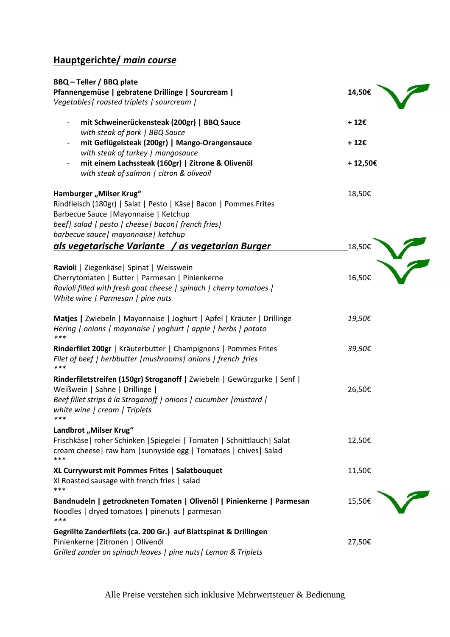## **Hauptgerichte/** *main course*

| BBQ - Teller / BBQ plate<br>Pfannengemüse   gebratene Drillinge   Sourcream  <br>Vegetables   roasted triplets   sourcream                                                                                                            | 14,50€           |
|---------------------------------------------------------------------------------------------------------------------------------------------------------------------------------------------------------------------------------------|------------------|
| mit Schweinerückensteak (200gr)   BBQ Sauce<br>$\overline{\phantom{a}}$<br>with steak of pork   BBQ Sauce                                                                                                                             | +12€             |
| mit Geflügelsteak (200gr)   Mango-Orangensauce<br>$\overline{\phantom{a}}$                                                                                                                                                            | $+12\varepsilon$ |
| with steak of turkey   mangosauce<br>mit einem Lachssteak (160gr)   Zitrone & Olivenöl<br>$\overline{\phantom{a}}$<br>with steak of salmon   citron & oliveoil                                                                        | +12,50€          |
| Hamburger "Milser Krug"<br>Rindfleisch (180gr)   Salat   Pesto   Käse   Bacon   Pommes Frites<br>Barbecue Sauce   Mayonnaise   Ketchup<br>beef  salad   pesto   cheese  bacon  french fries <br>barbecue sauce   mayonnaise   ketchup | 18,50€           |
| als vegetarische Variante / as vegetarian Burger                                                                                                                                                                                      | 18,50€           |
| Ravioli   Ziegenkäse   Spinat   Weisswein<br>Cherrytomaten   Butter   Parmesan   Pinienkerne<br>Ravioli filled with fresh goat cheese   spinach   cherry tomatoes  <br>White wine   Parmesan   pine nuts                              | 16,50€           |
| Matjes   Zwiebeln   Mayonnaise   Joghurt   Apfel   Kräuter   Drillinge<br>Hering   onions   mayonaise   yoghurt   apple   herbs   potato<br>***                                                                                       | 19,50€           |
| Rinderfilet 200gr   Kräuterbutter   Champignons   Pommes Frites<br>Filet of beef   herbbutter   mushrooms   onions   french fries<br>$***$                                                                                            | 39,50€           |
| Rinderfiletstreifen (150gr) Stroganoff   Zwiebeln   Gewürzgurke   Senf  <br>Weißwein   Sahne   Drillinge  <br>Beef fillet strips á la Stroganoff   onions   cucumber   mustard  <br>white wine   cream   Triplets<br>***              | 26,50€           |
| Landbrot "Milser Krug"<br>Frischkäse   roher Schinken   Spiegelei   Tomaten   Schnittlauch   Salat<br>cream cheese   raw ham   sunnyside egg   Tomatoes   chives   Salad<br>***                                                       | 12,50€           |
| XL Currywurst mit Pommes Frites   Salatbouquet<br>XI Roasted sausage with french fries   salad<br>***                                                                                                                                 | 11,50€           |
| Bandnudeln   getrockneten Tomaten   Olivenöl   Pinienkerne   Parmesan<br>Noodles   dryed tomatoes   pinenuts   parmesan<br>$***$                                                                                                      | 15,50€           |
| Gegrillte Zanderfilets (ca. 200 Gr.) auf Blattspinat & Drillingen<br>Pinienkerne   Zitronen   Olivenöl<br>Grilled zander on spinach leaves   pine nuts   Lemon & Triplets                                                             | 27,50€           |